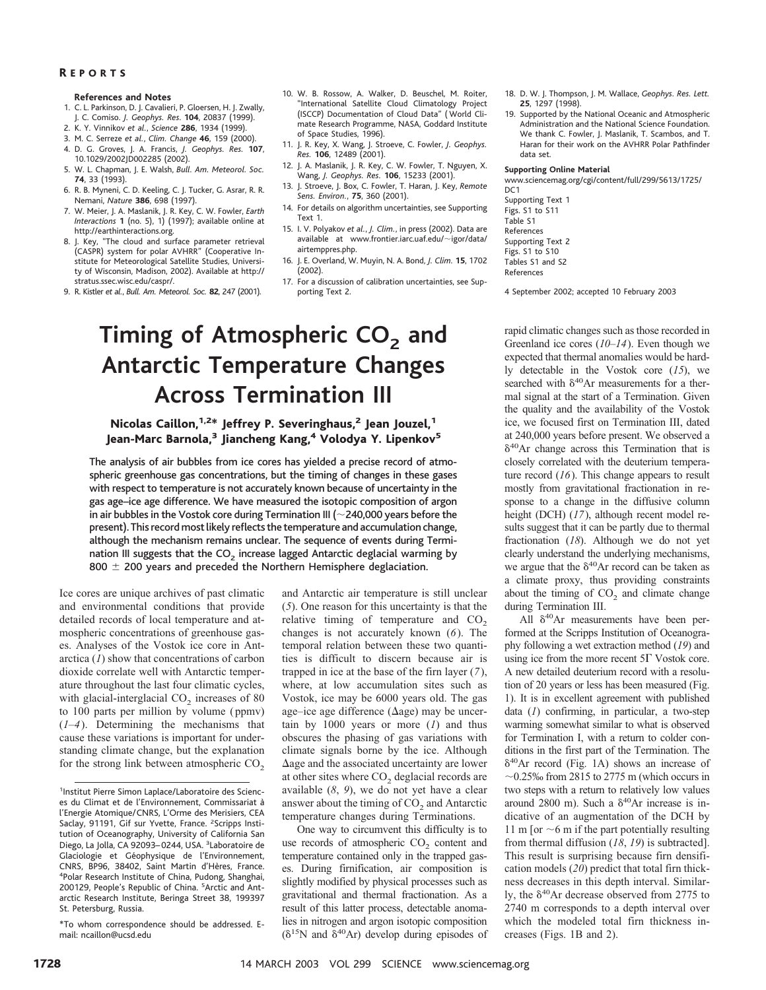### R EPORTS

#### **References and Notes**

- 1. C. L. Parkinson, D. J. Cavalieri, P. Gloersen, H. J. Zwally, J. C. Comiso. *J. Geophys. Res*. **104**, 20837 (1999).
- 2. K. Y. Vinnikov *et al.*, *Science* **286**, 1934 (1999).
- 3. M. C. Serreze *et al.*, *Clim. Change* **46**, 159 (2000).
- 4. D. G. Groves, J. A. Francis, *J. Geophys. Res.* **107**, 10.1029/2002JD002285 (2002).
- 5. W. L. Chapman, J. E. Walsh, *Bull. Am. Meteorol. Soc.* **74**, 33 (1993).
- 6. R. B. Myneni, C. D. Keeling, C. J. Tucker, G. Asrar, R. R. Nemani, *Nature* **386**, 698 (1997).
- 7. W. Meier, J. A. Maslanik, J. R. Key, C. W. Fowler, *Earth Interactions* **1** (no. 5), 1) (1997); available online at http://earthinteractions.org.
- 8. J. Key, "The cloud and surface parameter retrieval (CASPR) system for polar AVHRR" (Cooperative Institute for Meteorological Satellite Studies, University of Wisconsin, Madison, 2002). Available at http:// stratus.ssec.wisc.edu/caspr/.
- 9. R. Kistler *et al.*, *Bull. Am. Meteorol. Soc.* **82**, 247 (2001).
- 10. W. B. Rossow, A. Walker, D. Beuschel, M. Roiter, "International Satellite Cloud Climatology Project (ISCCP) Documentation of Cloud Data" ( World Climate Research Programme, NASA, Goddard Institute of Space Studies, 1996).
- 11. J. R. Key, X. Wang, J. Stroeve, C. Fowler, *J. Geophys. Res.* **106**, 12489 (2001).
- 12. J. A. Maslanik, J. R. Key, C. W. Fowler, T. Nguyen, X. Wang, *J. Geophys. Res.* **106**, 15233 (2001).
- 13. J. Stroeve, J. Box, C. Fowler, T. Haran, J. Key, *Remote Sens. Environ.*, **75**, 360 (2001).
- 14. For details on algorithm uncertainties, see Supporting Text 1.
- 15. I. V. Polyakov *et al.*, *J. Clim.*, in press (2002). Data are available at www.frontier.iarc.uaf.edu/ $\sim$ igor/data/ airtemppres.php.
- 16. J. E. Overland, W. Muyin, N. A. Bond, *J. Clim.* **15**, 1702 (2002).
- 17. For a discussion of calibration uncertainties, see Supporting Text 2.

# **Timing of Atmospheric CO<sub>2</sub> and Antarctic Temperature Changes Across Termination III**

## Nicolas Caillon,<sup>1,2\*</sup> Jeffrey P. Severinghaus,<sup>2</sup> Jean Jouzel,<sup>1</sup> Jean-Marc Barnola,<sup>3</sup> Jiancheng Kang,<sup>4</sup> Volodya Y. Lipenkov<sup>5</sup>

The analysis of air bubbles from ice cores has yielded a precise record of atmospheric greenhouse gas concentrations, but the timing of changes in these gases with respect to temperature is not accurately known because of uncertainty in the gas age–ice age difference. We have measured the isotopic composition of argon in air bubbles in the Vostok core during Termination III ( $\sim$  240,000 years before the present). This record most likely reflects the temperature and accumulation change, although the mechanism remains unclear. The sequence of events during Termination III suggests that the  $CO<sub>2</sub>$  increase lagged Antarctic deglacial warming by 800  $\pm$  200 years and preceded the Northern Hemisphere deglaciation.

Ice cores are unique archives of past climatic and environmental conditions that provide detailed records of local temperature and atmospheric concentrations of greenhouse gases. Analyses of the Vostok ice core in Antarctica (*1*) show that concentrations of carbon dioxide correlate well with Antarctic temperature throughout the last four climatic cycles, with glacial-interglacial  $CO<sub>2</sub>$  increases of 80 to 100 parts per million by volume (ppmv) (*1*–*4*). Determining the mechanisms that cause these variations is important for understanding climate change, but the explanation for the strong link between atmospheric  $CO<sub>2</sub>$  and Antarctic air temperature is still unclear (*5*). One reason for this uncertainty is that the relative timing of temperature and  $CO<sub>2</sub>$ changes is not accurately known (*6*). The temporal relation between these two quantities is difficult to discern because air is trapped in ice at the base of the firn layer (*7*), where, at low accumulation sites such as Vostok, ice may be 6000 years old. The gas age–ice age difference  $(\Delta$ age) may be uncertain by 1000 years or more (*1*) and thus obscures the phasing of gas variations with climate signals borne by the ice. Although  $\Delta$ age and the associated uncertainty are lower at other sites where CO<sub>2</sub> deglacial records are available (*8*, *9*), we do not yet have a clear answer about the timing of  $CO<sub>2</sub>$  and Antarctic temperature changes during Terminations.

One way to circumvent this difficulty is to use records of atmospheric  $CO<sub>2</sub>$  content and temperature contained only in the trapped gases. During firnification, air composition is slightly modified by physical processes such as gravitational and thermal fractionation. As a result of this latter process, detectable anomalies in nitrogen and argon isotopic composition ( $\delta^{15}N$  and  $\delta^{40}Ar$ ) develop during episodes of

- 18. D. W. J. Thompson, J. M. Wallace, *Geophys. Res. Lett.* **25**, 1297 (1998).
- 19. Supported by the National Oceanic and Atmospheric Administration and the National Science Foundation. We thank C. Fowler, J. Maslanik, T. Scambos, and T. Haran for their work on the AVHRR Polar Pathfinder data set.

#### **Supporting Online Material**

www.sciencemag.org/cgi/content/full/299/5613/1725/ D<sub>C</sub>1

Supporting Text 1 Figs. S1 to S11 Table S1 References Supporting Text 2 Figs. S1 to S10 Tables S1 and S2 References

4 September 2002; accepted 10 February 2003

rapid climatic changes such as those recorded in Greenland ice cores (*10*–*14*). Even though we expected that thermal anomalies would be hardly detectable in the Vostok core (*15*), we searched with  $\delta^{40}$ Ar measurements for a thermal signal at the start of a Termination. Given the quality and the availability of the Vostok ice, we focused first on Termination III, dated at 240,000 years before present. We observed a  $\delta^{40}$ Ar change across this Termination that is closely correlated with the deuterium temperature record (*16*). This change appears to result mostly from gravitational fractionation in response to a change in the diffusive column height (DCH) (*17*), although recent model results suggest that it can be partly due to thermal fractionation (*18*). Although we do not yet clearly understand the underlying mechanisms, we argue that the  $\delta^{40}$ Ar record can be taken as a climate proxy, thus providing constraints about the timing of  $CO<sub>2</sub>$  and climate change during Termination III.

All  $\delta^{40}$ Ar measurements have been performed at the Scripps Institution of Oceanography following a wet extraction method (*19*) and using ice from the more recent  $5\Gamma$  Vostok core. A new detailed deuterium record with a resolution of 20 years or less has been measured (Fig. 1). It is in excellent agreement with published data (*1*) confirming, in particular, a two-step warming somewhat similar to what is observed for Termination I, with a return to colder conditions in the first part of the Termination. The  $\delta^{40}$ Ar record (Fig. 1A) shows an increase of  $\sim$ 0.25‰ from 2815 to 2775 m (which occurs in two steps with a return to relatively low values around 2800 m). Such a  $\delta^{40}$ Ar increase is indicative of an augmentation of the DCH by 11 m [or  $\sim$  6 m if the part potentially resulting from thermal diffusion (*18*, *19*) is subtracted]. This result is surprising because firn densification models (*20*) predict that total firn thickness decreases in this depth interval. Similarly, the  $\delta^{40}$ Ar decrease observed from 2775 to 2740 m corresponds to a depth interval over which the modeled total firn thickness increases (Figs. 1B and 2).

<sup>&</sup>lt;sup>1</sup>Institut Pierre Simon Laplace/Laboratoire des Sciences du Climat et de l'Environnement, Commissariat a` l'Energie Atomique/CNRS, L'Orme des Merisiers, CEA Saclay, 91191, Gif sur Yvette, France. <sup>2</sup>Scripps Institution of Oceanography, University of California San Diego, La Jolla, CA 92093-0244, USA. <sup>3</sup>Laboratoire de Glaciologie et Géophysique de l'Environnement, CNRS, BP96, 38402, Saint Martin d'Hères, France. <sup>4</sup>Polar Research Institute of China, Pudong, Shanghai, 200129, People's Republic of China. <sup>5</sup>Arctic and Antarctic Research Institute, Beringa Street 38, 199397 St. Petersburg, Russia.

<sup>\*</sup>To whom correspondence should be addressed. Email: ncaillon@ucsd.edu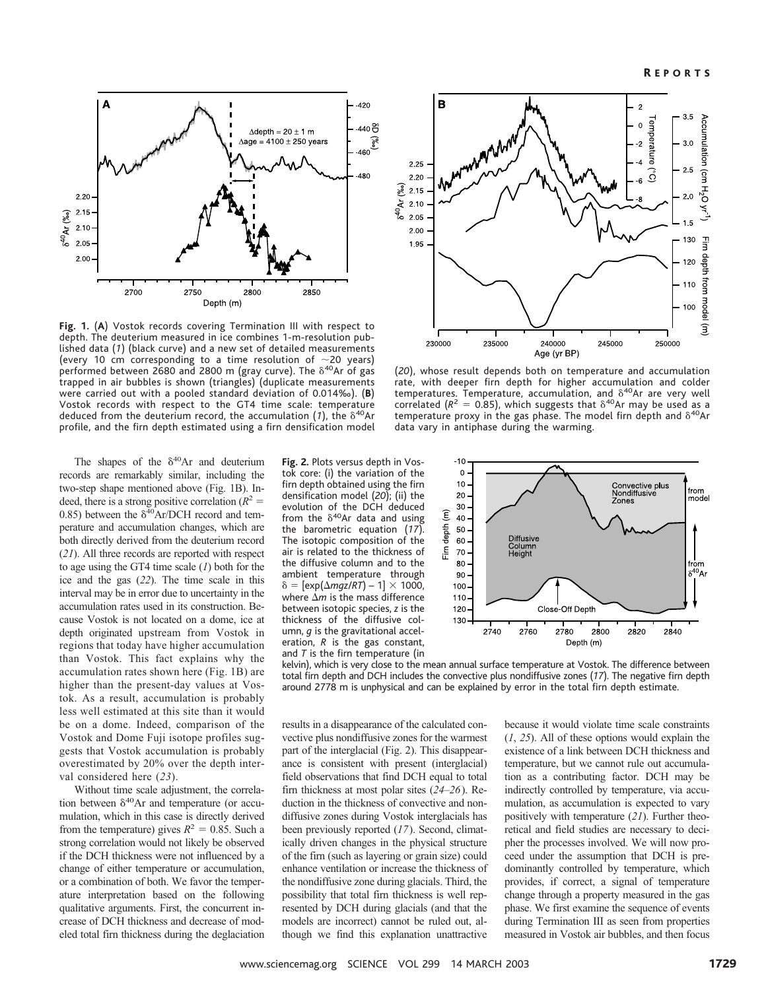

Fig. 1. (A) Vostok records covering Termination III with respect to depth. The deuterium measured in ice combines 1-m-resolution published data (1) (black curve) and a new set of detailed measurements (every 10 cm corresponding to a time resolution of  $\sim$  20 years) performed between 2680 and 2800 m (gray curve). The  $\delta^{40}$ Ar of gas trapped in air bubbles is shown (triangles)(duplicate measurements were carried out with a pooled standard deviation of 0.014‰). (**B**) Vostok records with respect to the GT4 time scale: temperature deduced from the deuterium record, the accumulation  $(1)$ , the  $\delta^{40}$ Ar profile, and the firn depth estimated using a firn densification model

The shapes of the  $\delta^{40}$ Ar and deuterium records are remarkably similar, including the two-step shape mentioned above (Fig. 1B). Indeed, there is a strong positive correlation  $(R^2 =$ 0.85) between the  $\delta^{40}$ Ar/DCH record and temperature and accumulation changes, which are both directly derived from the deuterium record (*21*). All three records are reported with respect to age using the GT4 time scale (*1*) both for the ice and the gas (*22*). The time scale in this interval may be in error due to uncertainty in the accumulation rates used in its construction. Because Vostok is not located on a dome, ice at depth originated upstream from Vostok in regions that today have higher accumulation than Vostok. This fact explains why the accumulation rates shown here (Fig. 1B) are higher than the present-day values at Vostok. As a result, accumulation is probably less well estimated at this site than it would be on a dome. Indeed, comparison of the Vostok and Dome Fuji isotope profiles suggests that Vostok accumulation is probably overestimated by 20% over the depth interval considered here (*23*).

Without time scale adjustment, the correlation between  $\delta^{40}$ Ar and temperature (or accumulation, which in this case is directly derived from the temperature) gives  $R^2 = 0.85$ . Such a strong correlation would not likely be observed if the DCH thickness were not influenced by a change of either temperature or accumulation, or a combination of both. We favor the temperature interpretation based on the following qualitative arguments. First, the concurrent increase of DCH thickness and decrease of modeled total firn thickness during the deglaciation **Fig. 2.** Plots versus depth in Vostok core: (i) the variation of the firn depth obtained using the firn densification model (*20*); (ii) the evolution of the DCH deduced from the  $\delta^{40}$ Ar data and using the barometric equation (*17*). The isotopic composition of the air is related to the thickness of the diffusive column and to the ambient temperature through  $\delta = \left[\exp(\Delta m q z / RT) - 1\right] \times 1000$ , where  $\Delta m$  is the mass difference between isotopic species, *z* is the thickness of the diffusive column, *g* is the gravitational acceleration, *R* is the gas constant, and *T* is the firn temperature (in



(*20*), whose result depends both on temperature and accumulation rate, with deeper firn depth for higher accumulation and colder temperatures. Temperature, accumulation, and  $\delta^{40}$ Ar are very well correlated ( $R^2 = 0.85$ ), which suggests that  $\delta^{40}$ Ar may be used as a temperature proxy in the gas phase. The model firn depth and  $\delta^{40}$ Ar data vary in antiphase during the warming.



kelvin), which is very close to the mean annual surface temperature at Vostok. The difference between total firn depth and DCH includes the convective plus nondiffusive zones (*17*). The negative firn depth around 2778 m is unphysical and can be explained by error in the total firn depth estimate.

results in a disappearance of the calculated convective plus nondiffusive zones for the warmest part of the interglacial (Fig. 2). This disappearance is consistent with present (interglacial) field observations that find DCH equal to total firn thickness at most polar sites (*24*–*26*). Reduction in the thickness of convective and nondiffusive zones during Vostok interglacials has been previously reported (*17*). Second, climatically driven changes in the physical structure of the firn (such as layering or grain size) could enhance ventilation or increase the thickness of the nondiffusive zone during glacials. Third, the possibility that total firn thickness is well represented by DCH during glacials (and that the models are incorrect) cannot be ruled out, although we find this explanation unattractive

because it would violate time scale constraints (*1*, *25*). All of these options would explain the existence of a link between DCH thickness and temperature, but we cannot rule out accumulation as a contributing factor. DCH may be indirectly controlled by temperature, via accumulation, as accumulation is expected to vary positively with temperature (*21*). Further theoretical and field studies are necessary to decipher the processes involved. We will now proceed under the assumption that DCH is predominantly controlled by temperature, which provides, if correct, a signal of temperature change through a property measured in the gas phase. We first examine the sequence of events during Termination III as seen from properties measured in Vostok air bubbles, and then focus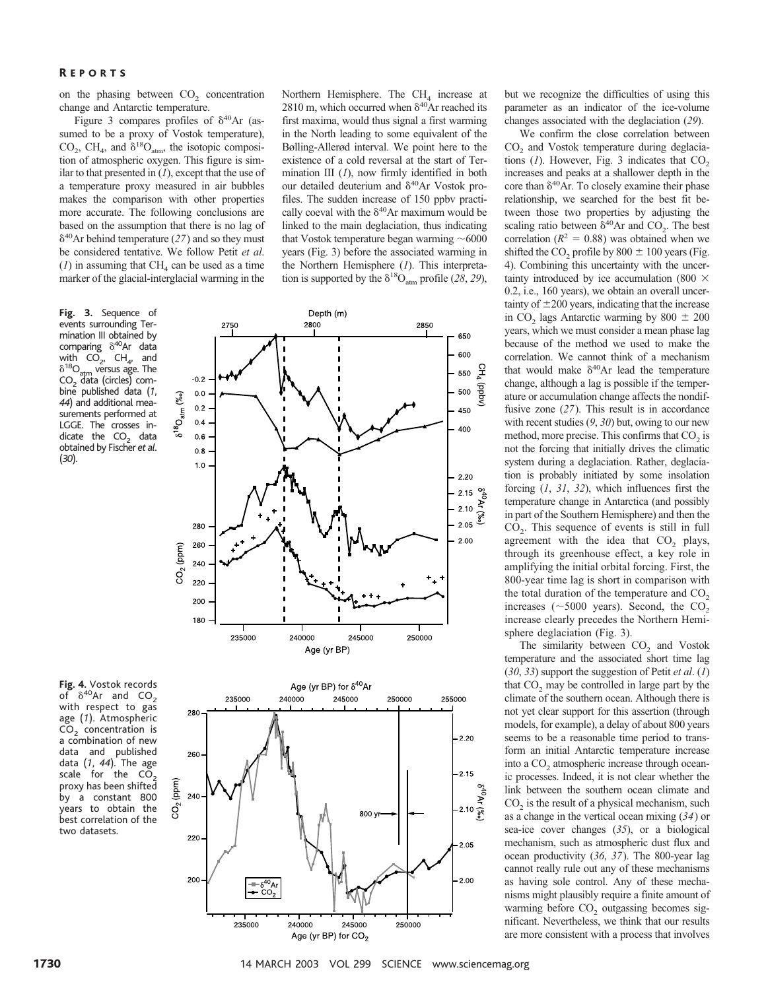## R EPORTS

on the phasing between  $CO<sub>2</sub>$  concentration change and Antarctic temperature.

Figure 3 compares profiles of  $\delta^{40}$ Ar (assumed to be a proxy of Vostok temperature), CO<sub>2</sub>, CH<sub>4</sub>, and  $\delta^{18}O_{\text{atm}}$ , the isotopic composition of atmospheric oxygen. This figure is similar to that presented in (*1*), except that the use of a temperature proxy measured in air bubbles makes the comparison with other properties more accurate. The following conclusions are based on the assumption that there is no lag of 40Ar behind temperature (*27*) and so they must be considered tentative. We follow Petit *et al*.  $(1)$  in assuming that CH<sub>4</sub> can be used as a time marker of the glacial-interglacial warming in the

2750

**Fig. 3.** Sequence of events surrounding Termination III obtained by comparing  $\delta^{40}$ Ar data with  $CO_{2}$ ,  $CH_{4}$ , and  $\delta^{18}O_{\text{atm}}$  versus age. The  $CO<sub>2</sub>$  data (circles) combine published data (*1*, 44) and additional measurements performed at LGGE. The crosses indicate the  $CO<sub>2</sub>$  data obtained by Fischer *et al*. (*30*).

of  $\delta^{40}$ Ar and CO<sub>2</sub> with respect to gas age (*1*). Atmospheric  $CO<sub>2</sub>$  concentration is a combination of new data and published data (*1*, *44*). The age scale for the  $C\overline{O}_2$ proxy has been shifted by a constant 800 years to obtain the best correlation of the two datasets.

Northern Hemisphere. The  $CH<sub>4</sub>$  increase at 2810 m, which occurred when  $\delta^{40}$ Ar reached its first maxima, would thus signal a first warming in the North leading to some equivalent of the Bølling-Allerød interval. We point here to the existence of a cold reversal at the start of Termination III (*1*), now firmly identified in both our detailed deuterium and  $\delta^{40}$ Ar Vostok profiles. The sudden increase of 150 ppbv practically coeval with the  $\delta^{40}$ Ar maximum would be linked to the main deglaciation, thus indicating that Vostok temperature began warming  $~16000$ years (Fig. 3) before the associated warming in the Northern Hemisphere (*1*). This interpretation is supported by the  $\delta^{18}O_{\text{atm}}$  profile (28, 29),

2850

650



Depth (m) 2800

but we recognize the difficulties of using this parameter as an indicator of the ice-volume changes associated with the deglaciation (*29*).

We confirm the close correlation between CO<sub>2</sub> and Vostok temperature during deglaciations  $(I)$ . However, Fig. 3 indicates that  $CO<sub>2</sub>$ increases and peaks at a shallower depth in the core than  $\delta^{40}$ Ar. To closely examine their phase relationship, we searched for the best fit between those two properties by adjusting the scaling ratio between  $\delta^{40}$ Ar and CO<sub>2</sub>. The best correlation ( $R^2 = 0.88$ ) was obtained when we shifted the  $CO_2$  profile by  $800 \pm 100$  years (Fig. 4). Combining this uncertainty with the uncertainty introduced by ice accumulation (800  $\times$ 0.2, i.e., 160 years), we obtain an overall uncertainty of  $\pm 200$  years, indicating that the increase in CO<sub>2</sub> lags Antarctic warming by 800  $\pm$  200 years, which we must consider a mean phase lag because of the method we used to make the correlation. We cannot think of a mechanism that would make  $\delta^{40}$ Ar lead the temperature change, although a lag is possible if the temperature or accumulation change affects the nondiffusive zone (*27*). This result is in accordance with recent studies (*9*, *30*) but, owing to our new method, more precise. This confirms that  $CO<sub>2</sub>$  is not the forcing that initially drives the climatic system during a deglaciation. Rather, deglaciation is probably initiated by some insolation forcing (*1*, *31*, *32*), which influences first the temperature change in Antarctica (and possibly in part of the Southern Hemisphere) and then the CO<sub>2</sub>. This sequence of events is still in full agreement with the idea that  $CO<sub>2</sub>$  plays, through its greenhouse effect, a key role in amplifying the initial orbital forcing. First, the 800-year time lag is short in comparison with the total duration of the temperature and  $CO<sub>2</sub>$ increases ( $\sim$ 5000 years). Second, the CO<sub>2</sub> increase clearly precedes the Northern Hemisphere deglaciation (Fig. 3).

The similarity between  $CO<sub>2</sub>$  and Vostok temperature and the associated short time lag (*30*, *33*) support the suggestion of Petit *et al*. (*1*) that  $CO<sub>2</sub>$  may be controlled in large part by the climate of the southern ocean. Although there is not yet clear support for this assertion (through models, for example), a delay of about 800 years seems to be a reasonable time period to transform an initial Antarctic temperature increase into a CO<sub>2</sub> atmospheric increase through oceanic processes. Indeed, it is not clear whether the link between the southern ocean climate and  $CO<sub>2</sub>$  is the result of a physical mechanism, such as a change in the vertical ocean mixing (*34*) or sea-ice cover changes (*35*), or a biological mechanism, such as atmospheric dust flux and ocean productivity (*36*, *37*). The 800-year lag cannot really rule out any of these mechanisms as having sole control. Any of these mechanisms might plausibly require a finite amount of warming before  $CO<sub>2</sub>$  outgassing becomes significant. Nevertheless, we think that our results are more consistent with a process that involves